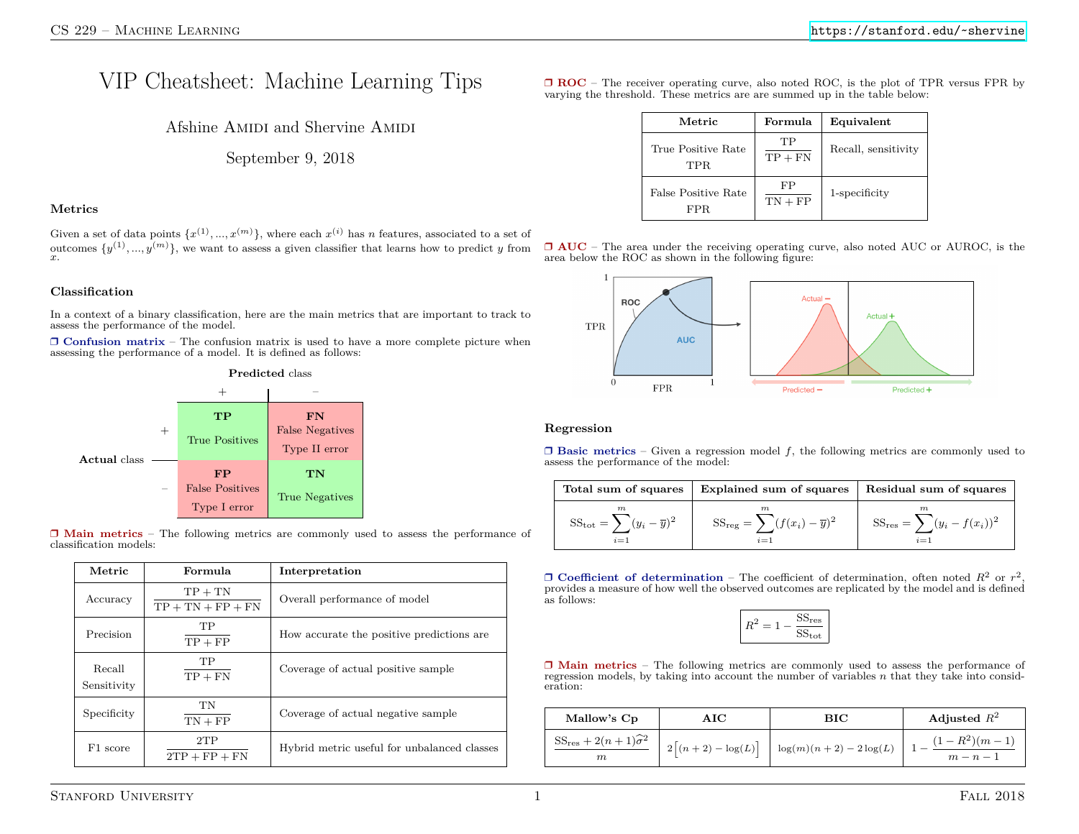# VIP Cheatsheet: Machine Learning Tips

Afshine AMIDI and Shervine AMIDI

September 9, 2018

## **Metrics**

Given a set of data points  $\{x^{(1)},...,x^{(m)}\}$ , where each  $x^{(i)}$  has *n* features, associated to a set of outcomes  $\{y^{(1)}, ..., y^{(m)}\}$ , we want to assess a given classifier that learns how to predict *y* from  $x$ .

## **Classification**

In a context of a binary classification, here are the main metrics that are important to track to assess the performance of the model.

❒ **Confusion matrix** – The confusion matrix is used to have a more complete picture when assessing the performance of a model. It is defined as follows:



❒ **Main metrics** – The following metrics are commonly used to assess the performance of classification models:

| Metric                | Formula                          | Interpretation                              |  |
|-----------------------|----------------------------------|---------------------------------------------|--|
| Accuracy              | $TP + TN$<br>$TP + TN + FP + FN$ | Overall performance of model                |  |
| Precision             | TP<br>$TP + FP$                  | How accurate the positive predictions are   |  |
| Recall<br>Sensitivity | TP.<br>$TP + FN$                 | Coverage of actual positive sample          |  |
| Specificity           | TN<br>$TN + FP$                  | Coverage of actual negative sample          |  |
| F1 score              | 2TP<br>$2TP + FP + FN$           | Hybrid metric useful for unbalanced classes |  |

❒ **ROC** – The receiver operating curve, also noted ROC, is the plot of TPR versus FPR by varying the threshold. These metrics are are summed up in the table below:

| Metric                      | Formula         | Equivalent          |
|-----------------------------|-----------------|---------------------|
| True Positive Rate<br>TPR.  | TР<br>$TP + FN$ | Recall, sensitivity |
| False Positive Rate<br>FPR. | FP<br>$TN + FP$ | 1-specificity       |





#### **Regression**

❒ **Basic metrics** – Given a regression model *f*, the following metrics are commonly used to assess the performance of the model:

| Total sum of squares                                          | Explained sum of squares                                  | Residual sum of squares                     |
|---------------------------------------------------------------|-----------------------------------------------------------|---------------------------------------------|
| m<br>$SS_{\text{tot}} = \sum (y_i - \overline{y})^2$<br>$i=1$ | m<br>$SS_{reg} = \sum (f(x_i) - \overline{y})^2$<br>$i=1$ | $SS_{res} = \sum (y_i - f(x_i))^2$<br>$i=1$ |

□ **Coefficient of determination** – The coefficient of determination, often noted  $R^2$  or  $r^2$ , provides a measure of how well the observed outcomes are replicated by the model and is defined as follows:

$$
R^2 = 1 - \frac{\text{SS}_{\text{res}}}{\text{SS}_{\text{tot}}}
$$

❒ **Main metrics** – The following metrics are commonly used to assess the performance of regression models, by taking into account the number of variables *n* that they take into consideration:

| Mallow's Cp                                              | $\rm AIC$ | BIC                                                                    | Adjusted $R^2$                |
|----------------------------------------------------------|-----------|------------------------------------------------------------------------|-------------------------------|
| SS <sub>res</sub> + 2 $(n+1)\widehat{\sigma}^2$<br>$\,m$ |           | $2\left[(n+2) - \log(L)\right] \left[ \log(m)(n+2) - 2\log(L) \right]$ | $(1 - R^2)(m - 1)$<br>$m-n-1$ |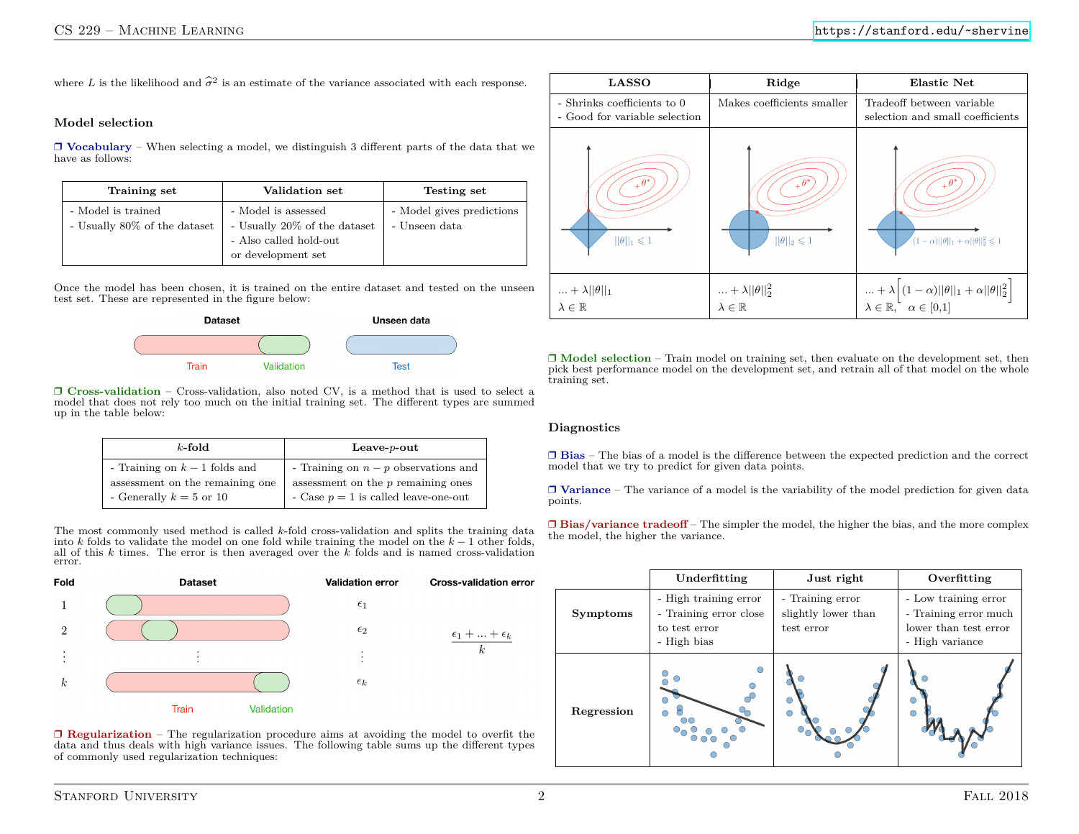where *L* is the likelihood and  $\hat{\sigma}^2$  is an estimate of the variance associated with each response.

# **Model selection**

❒ **Vocabulary** – When selecting a model, we distinguish 3 different parts of the data that we have as follows:

| Training set                                       | Validation set                                                                                      | Testing set                                |
|----------------------------------------------------|-----------------------------------------------------------------------------------------------------|--------------------------------------------|
| - Model is trained<br>- Usually 80% of the dataset | - Model is assessed<br>- Usually 20% of the dataset<br>- Also called hold-out<br>or development set | - Model gives predictions<br>- Unseen data |

Once the model has been chosen, it is trained on the entire dataset and tested on the unseen test set. These are represented in the figure below:



❒ **Cross-validation** – Cross-validation, also noted CV, is a method that is used to select a model that does not rely too much on the initial training set. The different types are summed up in the table below:

| $k$ -fold                       | Leave- $p$ -out                      |
|---------------------------------|--------------------------------------|
| - Training on $k-1$ folds and   | - Training on $n-p$ observations and |
| assessment on the remaining one | assessment on the $p$ remaining ones |
| - Generally $k = 5$ or 10       | - Case $p=1$ is called leave-one-out |

The most commonly used method is called *k*-fold cross-validation and splits the training data into *k* folds to validate the model on one fold while training the model on the *k* − 1 other folds, all of this *k* times. The error is then averaged over the *k* folds and is named cross-validation error.



❒ **Regularization** – The regularization procedure aims at avoiding the model to overfit the data and thus deals with high variance issues. The following table sums up the different types of commonly used regularization techniques:



❒ **Model selection** – Train model on training set, then evaluate on the development set, then pick best performance model on the development set, and retrain all of that model on the whole training set.

#### **Diagnostics**

❒ **Bias** – The bias of a model is the difference between the expected prediction and the correct model that we try to predict for given data points.

❒ **Variance** – The variance of a model is the variability of the model prediction for given data points.

❒ **Bias/variance tradeoff** – The simpler the model, the higher the bias, and the more complex the model, the higher the variance.

|                 | Underfitting                                                                    | Just right                                            | Overfitting                                                                               |
|-----------------|---------------------------------------------------------------------------------|-------------------------------------------------------|-------------------------------------------------------------------------------------------|
| <b>Symptoms</b> | - High training error<br>- Training error close<br>to test error<br>- High bias | - Training error<br>slightly lower than<br>test error | - Low training error<br>- Training error much<br>lower than test error<br>- High variance |
| Regression      |                                                                                 | $\bigcirc$                                            |                                                                                           |